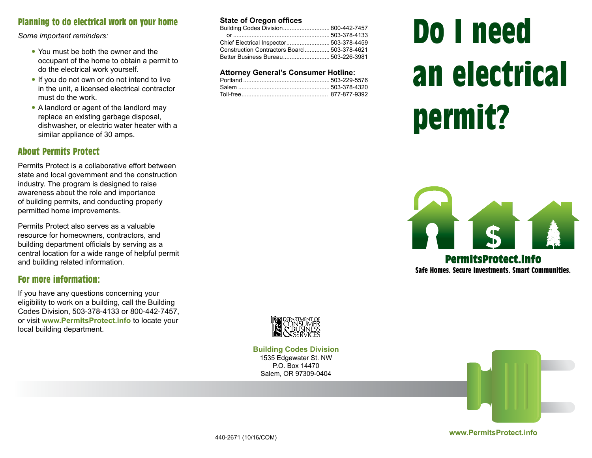# Planning to do electrical work on your home

*Some important reminders:* 

- You must be both the owner and the occupant of the home to obtain a permit to do the electrical work yourself.
- If you do not own or do not intend to live in the unit, a licensed electrical contractor must do the work.
- A landlord or agent of the landlord may replace an existing garbage disposal, dishwasher, or electric water heater with a similar appliance of 30 amps.

### About Permits Protect

Permits Protect is a collaborative effort between state and local government and the construction industry. The program is designed to raise awareness about the role and importance of building permits, and conducting properly permitted home improvements.

Permits Protect also serves as a valuable resource for homeowners, contractors, and building department officials by serving as a central location for a wide range of helpful permit and building related information.

#### For more information:

If you have any questions concerning your eligibility to work on a building, call the Building Codes Division, 503-378-4133 or 800-442-7457, or visit **www.PermitsProtect.info** to locate your local building department.

#### **State of Oregon offices**

| Chief Electrical Inspector 503-378-4459      |  |
|----------------------------------------------|--|
| Construction Contractors Board  503-378-4621 |  |
|                                              |  |
|                                              |  |

#### **Attorney General's Consumer Hotline:**

# Do I need an electrical permit?



Safe Homes. Secure Investments. Smart Communities.



**Building Codes Division** 1535 Edgewater St. NW P.O. Box 14470 Salem, OR 97309-0404

**www.PermitsProtect.info**